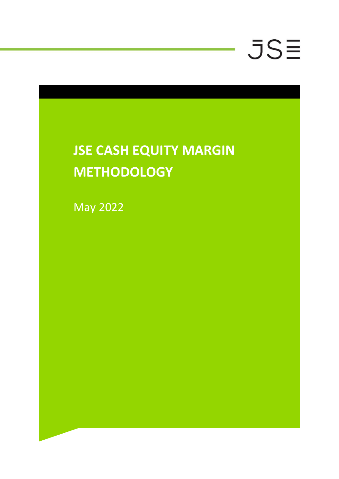### **JSE CASH EQUITY MARGIN METHODOLOGY**

May 2022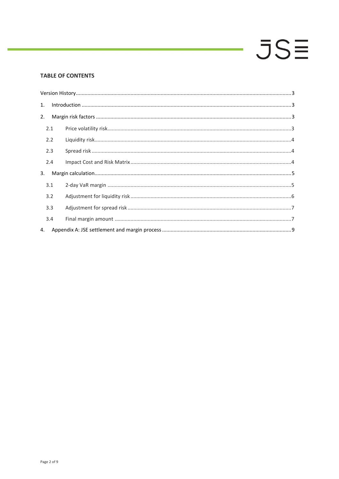#### **TABLE OF CONTENTS**

| 1. |     | $\label{eq:1} \mbox{Introduction} \,\, \ldots \,\, \ldots \,\, \ldots \,\, \ldots \,\, \ldots \,\, \ldots \,\, \ldots \,\, \ldots \,\, \ldots \,\, \ldots \,\, \ldots \,\, \ldots \,\, \ldots \,\, \ldots \,\, \ldots \,\, \ldots \,\, \ldots \,\, \ldots \,\, \ldots \,\, \ldots \,\, \ldots \,\, \ldots \,\, \ldots \,\, \ldots \,\, \ldots \,\, \ldots \,\, \ldots \,\, \ldots \,\, \ldots \,\, \ldots \,\, \ldots \,\, \ldots \,\, \ldots \,\, \ldots \,\,$ |  |  |  |  |
|----|-----|-----------------------------------------------------------------------------------------------------------------------------------------------------------------------------------------------------------------------------------------------------------------------------------------------------------------------------------------------------------------------------------------------------------------------------------------------------------------|--|--|--|--|
| 2. |     |                                                                                                                                                                                                                                                                                                                                                                                                                                                                 |  |  |  |  |
|    | 2.1 |                                                                                                                                                                                                                                                                                                                                                                                                                                                                 |  |  |  |  |
|    | 2.2 |                                                                                                                                                                                                                                                                                                                                                                                                                                                                 |  |  |  |  |
|    | 2.3 |                                                                                                                                                                                                                                                                                                                                                                                                                                                                 |  |  |  |  |
|    | 2.4 |                                                                                                                                                                                                                                                                                                                                                                                                                                                                 |  |  |  |  |
| 3. |     |                                                                                                                                                                                                                                                                                                                                                                                                                                                                 |  |  |  |  |
|    | 3.1 |                                                                                                                                                                                                                                                                                                                                                                                                                                                                 |  |  |  |  |
|    | 3.2 |                                                                                                                                                                                                                                                                                                                                                                                                                                                                 |  |  |  |  |
|    | 3.3 |                                                                                                                                                                                                                                                                                                                                                                                                                                                                 |  |  |  |  |
|    | 3.4 |                                                                                                                                                                                                                                                                                                                                                                                                                                                                 |  |  |  |  |
| 4. |     |                                                                                                                                                                                                                                                                                                                                                                                                                                                                 |  |  |  |  |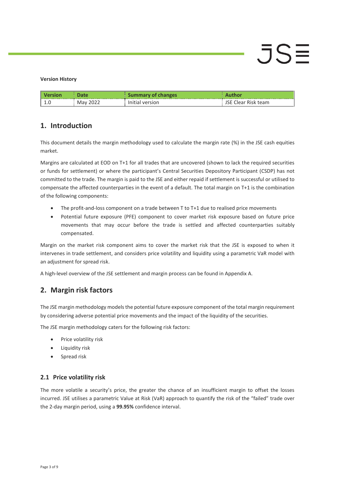#### <span id="page-2-0"></span>**Version History**

| <b>L.U</b> | 1 V I U | sion'<br>$V \cap T$ | team |
|------------|---------|---------------------|------|

### <span id="page-2-1"></span>**1. Introduction**

This document details the margin methodology used to calculate the margin rate (%) in the JSE cash equities market.

Margins are calculated at EOD on T+1 for all trades that are uncovered (shown to lack the required securities or funds for settlement) or where the participant's Central Securities Depository Participant (CSDP) has not committed to the trade. The margin is paid to the JSE and either repaid if settlement is successful or utilised to compensate the affected counterparties in the event of a default. The total margin on T+1 is the combination of the following components:

- The profit-and-loss component on a trade between T to T+1 due to realised price movements
- Potential future exposure (PFE) component to cover market risk exposure based on future price movements that may occur before the trade is settled and affected counterparties suitably compensated.

Margin on the market risk component aims to cover the market risk that the JSE is exposed to when it intervenes in trade settlement, and considers price volatility and liquidity using a parametric VaR model with an adjustment for spread risk.

A high-level overview of the JSE settlement and margin process can be found in Appendix A.

### <span id="page-2-2"></span>**2. Margin risk factors**

The JSE margin methodology models the potential future exposure component of the total margin requirement by considering adverse potential price movements and the impact of the liquidity of the securities.

The JSE margin methodology caters for the following risk factors:

- Price volatility risk
- Liquidity risk
- Spread risk

#### <span id="page-2-3"></span>**2.1 Price volatility risk**

The more volatile a security's price, the greater the chance of an insufficient margin to offset the losses incurred. JSE utilises a parametric Value at Risk (VaR) approach to quantify the risk of the "failed" trade over the 2-day margin period, using a **99.95%** confidence interval.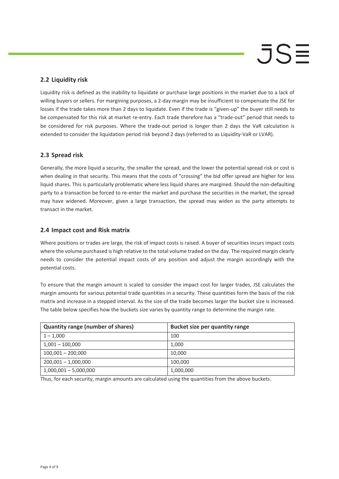#### <span id="page-3-0"></span>**2.2 Liquidity risk**

Liquidity risk is defined as the inability to liquidate or purchase large positions in the market due to a lack of willing buyers or sellers. For margining purposes, a 2-day margin may be insufficient to compensate the JSE for losses if the trade takes more than 2 days to liquidate. Even if the trade is "given-up" the buyer still needs to be compensated for this risk at market re-entry. Each trade therefore has a "trade-out" period that needs to be considered for risk purposes. Where the trade-out period is longer than 2 days the VaR calculation is extended to consider the liquidation period risk beyond 2 days (referred to as Liquidity-VaR or LVAR).

#### <span id="page-3-1"></span>**2.3 Spread risk**

Generally, the more liquid a security, the smaller the spread, and the lower the potential spread risk or cost is when dealing in that security. This means that the costs of "crossing" the bid offer spread are higher for less liquid shares. This is particularly problematic where less liquid shares are margined. Should the non-defaulting party to a transaction be forced to re-enter the market and purchase the securities in the market, the spread may have widened. Moreover, given a large transaction, the spread may widen as the party attempts to transact in the market.

#### <span id="page-3-2"></span>**2.4 Impact cost and Risk matrix**

Where positions or trades are large, the risk of impact costs is raised. A buyer of securities incurs impact costs where the volume purchased is high relative to the total volume traded on the day. The required margin clearly needs to consider the potential impact costs of any position and adjust the margin accordingly with the potential costs.

To ensure that the margin amount is scaled to consider the impact cost for larger trades, JSE calculates the margin amounts for various potential trade quantities in a security. These quantities form the basis of the risk matrix and increase in a stepped interval. As the size of the trade becomes larger the bucket size is increased. The table below specifies how the buckets size varies by quantity range to determine the margin rate.

| <b>Quantity range (number of shares)</b> | <b>Bucket size per quantity range</b> |
|------------------------------------------|---------------------------------------|
| $1 - 1,000$                              | 100                                   |
| $1,001 - 100,000$                        | 1,000                                 |
| $100,001 - 200,000$                      | 10,000                                |
| $200,001 - 1,000,000$                    | 100,000                               |
| $1,000,001 - 5,000,000$                  | 1,000,000                             |

Thus, for each security, margin amounts are calculated using the quantities from the above buckets.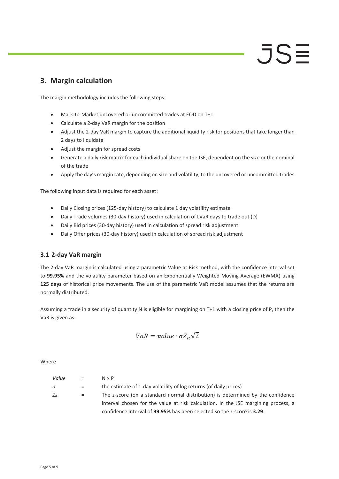### <span id="page-4-0"></span>**3. Margin calculation**

The margin methodology includes the following steps:

- Mark-to-Market uncovered or uncommitted trades at EOD on T+1
- Calculate a 2-day VaR margin for the position
- Adjust the 2-day VaR margin to capture the additional liquidity risk for positions that take longer than 2 days to liquidate

JSE

- Adjust the margin for spread costs
- Generate a daily risk matrix for each individual share on the JSE, dependent on the size or the nominal of the trade
- Apply the day's margin rate, depending on size and volatility, to the uncovered or uncommitted trades

The following input data is required for each asset:

- Daily Closing prices (125-day history) to calculate 1 day volatility estimate
- Daily Trade volumes (30-day history) used in calculation of LVaR days to trade out (D)
- Daily Bid prices (30-day history) used in calculation of spread risk adjustment
- Daily Offer prices (30-day history) used in calculation of spread risk adjustment

#### <span id="page-4-1"></span>**3.1 2-day VaR margin**

The 2-day VaR margin is calculated using a parametric Value at Risk method, with the confidence interval set to **99.95%** and the volatility parameter based on an Exponentially Weighted Moving Average (EWMA) using **125 days** of historical price movements. The use of the parametric VaR model assumes that the returns are normally distributed.

Assuming a trade in a security of quantity N is eligible for margining on T+1 with a closing price of P, then the VaR is given as:

$$
VaR = value \cdot \sigma Z_{\alpha} \sqrt{2}
$$

**Where** 

| Value        | $=$     | $N \times P$                                                                       |
|--------------|---------|------------------------------------------------------------------------------------|
| $\sigma$     | $=$ $-$ | the estimate of 1-day volatility of log returns (of daily prices)                  |
| $Z_{\alpha}$ | $=$     | The z-score (on a standard normal distribution) is determined by the confidence    |
|              |         | interval chosen for the value at risk calculation. In the JSE margining process, a |
|              |         | confidence interval of 99.95% has been selected so the z-score is 3.29.            |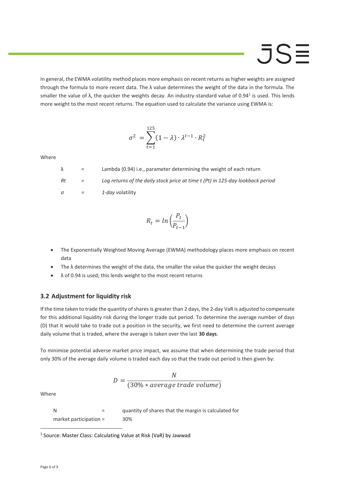In general, the EWMA volatility method places more emphasis on recent returns as higher weights are assigned through the formula to more recent data. The  $\lambda$  value determines the weight of the data in the formula. The smaller the value of  $\lambda$ , the quicker the weights decay. An industry-standard value of 0.94<sup>1</sup> is used. This lends more weight to the most recent returns. The equation used to calculate the variance using EWMA is:

$$
\sigma^2 = \sum_{t=1}^{125} (1 - \lambda) \cdot \lambda^{t-1} \cdot R_t^2
$$

Where

 $\lambda$  = Lambda (0.94) i.e., parameter determining the weight of each return *Rt = Log returns of the daily stock price at time t (Pt) in 125-day lookback period σ = 1-day v*olatility

$$
R_t = \ln\left(\frac{P_t}{P_{t-1}}\right)
$$

- The Exponentially Weighted Moving Average (EWMA) methodology places more emphasis on recent data
- $\bullet$  The  $\lambda$  determines the weight of the data, the smaller the value the quicker the weight decays
- $\lambda$  of 0.94 is used; this lends weight to the most recent returns

#### <span id="page-5-0"></span>**3.2 Adjustment for liquidity risk**

If the time taken to trade the quantity of shares is greater than 2 days, the 2-day VaR is adjusted to compensate for this additional liquidity risk during the longer trade out period. To determine the average number of days (D) that it would take to trade out a position in the security, we first need to determine the current average daily volume that is traded, where the average is taken over the last **30 days**.

To minimise potential adverse market price impact, we assume that when determining the trade period that only 30% of the average daily volume is traded each day so that the trade out period is then given by:

$$
D = \frac{N}{(30\% * average trade volume)}
$$

Where

N = quantity of shares that the margin is calculated for market participation = 30%

<sup>&</sup>lt;sup>1</sup> Source: Master Class: Calculating Value at Risk (VaR) by Jawwad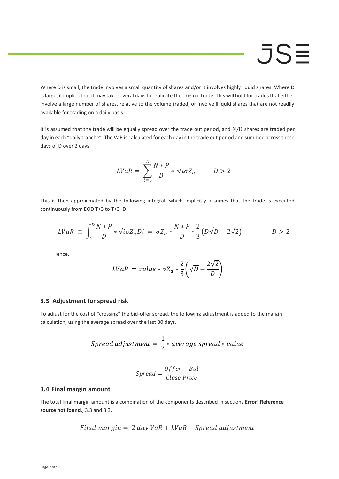Where D is small, the trade involves a small quantity of shares and/or it involves highly liquid shares. Where D islarge, it implies that it may take several days to replicate the original trade. This will hold for trades that either involve a large number of shares, relative to the volume traded, or involve illiquid shares that are not readily available for trading on a daily basis.

It is assumed that the trade will be equally spread over the trade out period, and N/D shares are traded per day in each "daily tranche". The VaR is calculated for each day in the trade out period and summed across those days of D over 2 days.

$$
LVaR = \sum_{i=3}^{D} \frac{N*P}{D} * \sqrt{i}\sigma Z_{\alpha} \qquad D > 2
$$

This is then approximated by the following integral, which implicitly assumes that the trade is executed continuously from EOD T+3 to T+3+D.

$$
LVaR \cong \int_2^D \frac{N*P}{D} * \sqrt{i}\sigma Z_\alpha Di = \sigma Z_\alpha * \frac{N*P}{D} * \frac{2}{3}(D\sqrt{D} - 2\sqrt{2}) \qquad D > 2
$$

Hence,

$$
LVaR = value * \sigma Z_{\alpha} * \frac{2}{3} \left( \sqrt{D} - \frac{2\sqrt{2}}{D} \right)
$$

#### <span id="page-6-0"></span>**3.3 Adjustment for spread risk**

To adjust for the cost of "crossing" the bid-offer spread, the following adjustment is added to the margin calculation, using the average spread over the last 30 days.

$$
Spread \text{ adjustment} = \frac{1}{2} * average \text{ spread} * value
$$

$$
Spread = \frac{Offer - Bid}{Close Price}
$$

#### <span id="page-6-1"></span>**3.4 Final margin amount**

The total final margin amount is a combination of the components described in sections **Error! Reference source not found.**[, 3.3](#page-6-0) an[d 3.3.](#page-6-0)

$$
Final\ margin = 2\ day\ VaR + LVaR + Spread\ adjustment
$$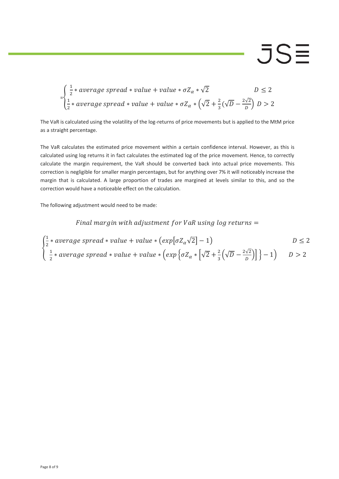$$
= \begin{cases} \frac{1}{2} * average\ spread * value + value * \sigma Z_{\alpha} * \sqrt{2} & D \le 2\\ \frac{1}{2} * average\ spread * value + value * \sigma Z_{\alpha} * (\sqrt{2} + \frac{2}{3}(\sqrt{D} - \frac{2\sqrt{2}}{D}) & D > 2 \end{cases}
$$

The VaR is calculated using the volatility of the log-returns of price movements but is applied to the MtM price as a straight percentage.

The VaR calculates the estimated price movement within a certain confidence interval. However, as this is calculated using log returns it in fact calculates the estimated log of the price movement. Hence, to correctly calculate the margin requirement, the VaR should be converted back into actual price movements. This correction is negligible for smaller margin percentages, but for anything over 7% it will noticeably increase the margin that is calculated. A large proportion of trades are margined at levels similar to this, and so the correction would have a noticeable effect on the calculation.

The following adjustment would need to be made:

Final margin with adjustment for VaR using  $log$  returns =

$$
\begin{cases} \frac{1}{2} * average\ spread * value + value * (exp[{\sigma Z_{\alpha} \sqrt{2}}] - 1) & D \le 2\\ \frac{1}{2} * average\ spread * value + value * (exp{\sigma Z_{\alpha} * [\sqrt{2} + \frac{2}{3}(\sqrt{D} - \frac{2\sqrt{2}}{D})]} - 1) & D > 2 \end{cases}
$$